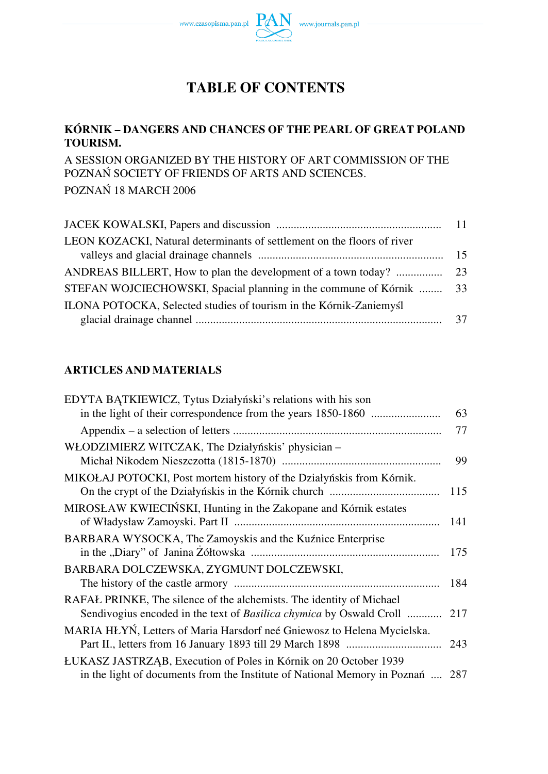

# **TABLE OF CONTENTS**

# **KÓRNIK – DANGERS AND CHANCES OF THE PEARL OF GREAT POLAND TOURISM.**

A SESSION ORGANIZED BY THE HISTORY OF ART COMMISSION OF THE POZNAŃ SOCIETY OF FRIENDS OF ARTS AND SCIENCES. POZNAŃ 18 MARCH 2006

| LEON KOZACKI, Natural determinants of settlement on the floors of river |    |
|-------------------------------------------------------------------------|----|
|                                                                         |    |
|                                                                         |    |
| STEFAN WOJCIECHOWSKI, Spacial planning in the commune of Kórnik  33     |    |
| ILONA POTOCKA, Selected studies of tourism in the Kórnik-Zaniemyśl      |    |
|                                                                         | 37 |

# **ARTICLES AND MATERIALS**

| EDYTA BATKIEWICZ, Tytus Działyński's relations with his son                                                                                               |     |
|-----------------------------------------------------------------------------------------------------------------------------------------------------------|-----|
|                                                                                                                                                           | 63  |
|                                                                                                                                                           | 77  |
| WŁODZIMIERZ WITCZAK, The Działyńskis' physician –                                                                                                         | 99  |
| MIKOŁAJ POTOCKI, Post mortem history of the Działyńskis from Kórnik.                                                                                      | 115 |
| MIROSŁAW KWIECIŃSKI, Hunting in the Zakopane and Kórnik estates                                                                                           | 141 |
| BARBARA WYSOCKA, The Zamoyskis and the Kuźnice Enterprise                                                                                                 | 175 |
| BARBARA DOLCZEWSKA, ZYGMUNT DOLCZEWSKI,                                                                                                                   | 184 |
| RAFAŁ PRINKE, The silence of the alchemists. The identity of Michael<br>Sendivogius encoded in the text of <i>Basilica chymica</i> by Oswald Croll  217   |     |
| MARIA HŁYŃ, Letters of Maria Harsdorf neé Gniewosz to Helena Mycielska.                                                                                   |     |
| <b>ŁUKASZ JASTRZĄB, Execution of Poles in Kórnik on 20 October 1939</b><br>in the light of documents from the Institute of National Memory in Poznań  287 |     |